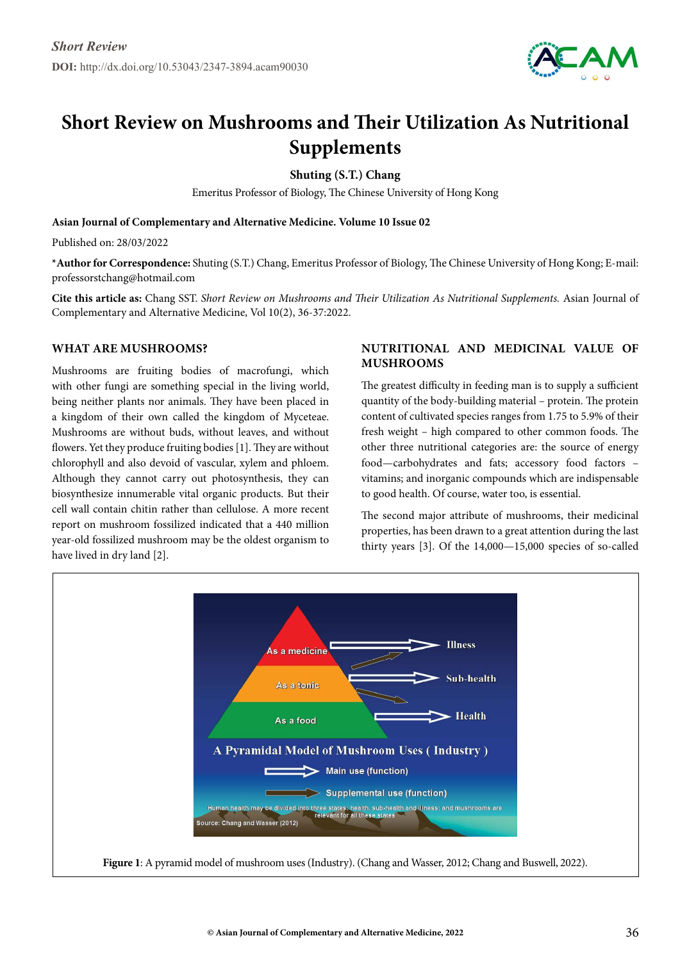

# **Short Review on Mushrooms and Their Utilization As Nutritional Supplements**

**Shuting (S.T.) Chang**

Emeritus Professor of Biology, The Chinese University of Hong Kong

### **Asian Journal of Complementary and Alternative Medicine. Volume 10 Issue 02**

Published on: 28/03/2022

**\*Author for Correspondence:** Shuting (S.T.) Chang, Emeritus Professor of Biology, The Chinese University of Hong Kong; E-mail: professorstchang@hotmail.com

**Cite this article as:** Chang SST. *Short Review on Mushrooms and Their Utilization As Nutritional Supplements.* Asian Journal of Complementary and Alternative Medicine, Vol 10(2), 36-37:2022.

## **What are mushrooms?**

Mushrooms are fruiting bodies of macrofungi, which with other fungi are something special in the living world, being neither plants nor animals. They have been placed in a kingdom of their own called the kingdom of Myceteae. Mushrooms are without buds, without leaves, and without flowers. Yet they produce fruiting bodies [1]. They are without chlorophyll and also devoid of vascular, xylem and phloem. Although they cannot carry out photosynthesis, they can biosynthesize innumerable vital organic products. But their cell wall contain chitin rather than cellulose. A more recent report on mushroom fossilized indicated that a 440 million year-old fossilized mushroom may be the oldest organism to have lived in dry land [2].

# **Nutritional and medicinal value of mushrooms**

The greatest difficulty in feeding man is to supply a sufficient quantity of the body-building material – protein. The protein content of cultivated species ranges from 1.75 to 5.9% of their fresh weight – high compared to other common foods. The other three nutritional categories are: the source of energy food—carbohydrates and fats; accessory food factors – vitamins; and inorganic compounds which are indispensable to good health. Of course, water too, is essential.

The second major attribute of mushrooms, their medicinal properties, has been drawn to a great attention during the last thirty years [3]. Of the 14,000—15,000 species of so-called